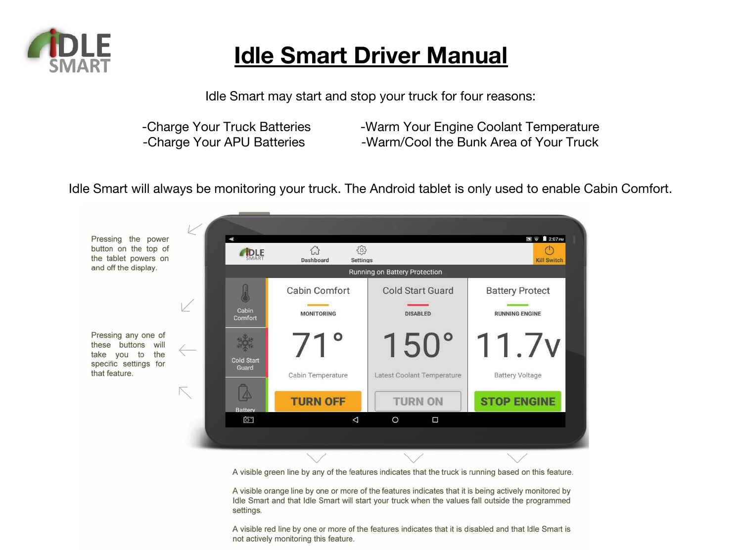

## **Idle Smart Driver Manual**

Idle Smart may start and stop your truck for four reasons:

-Charge Your Truck Batteries -Warm Your Engine Coolant Temperature<br>-Charge Your APU Batteries -Warm/Cool the Bunk Area of Your Truck

- 
- -Warm/Cool the Bunk Area of Your Truck

Idle Smart will always be monitoring your truck. The Android tablet is only used to enable Cabin Comfort.



A visible green line by any of the features indicates that the truck is running based on this feature.

A visible orange line by one or more of the features indicates that it is being actively monitored by Idle Smart and that Idle Smart will start your truck when the values fall outside the programmed settings.

A visible red line by one or more of the features indicates that it is disabled and that Idle Smart is not actively monitoring this feature.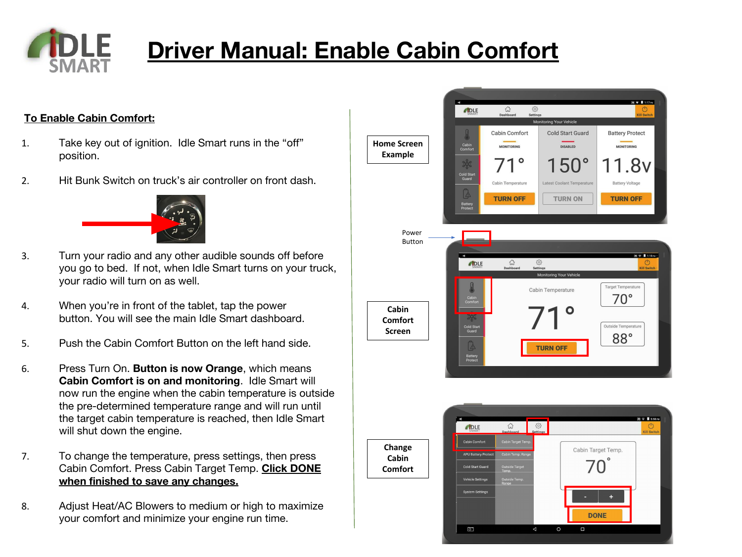

# **Driver Manual: Enable Cabin Comfort**

#### **To Enable Cabin Comfort:**

- 1. Take key out of ignition. Idle Smart runs in the "off" position.
- 2. Hit Bunk Switch on truck's air controller on front dash.



- 3. Turn your radio and any other audible sounds off before you go to bed. If not, when Idle Smart turns on your truck, your radio will turn on as well.
- 4. When you're in front of the tablet, tap the power button. You will see the main Idle Smart dashboard.
- 5. Push the Cabin Comfort Button on the left hand side.
- 6. Press Turn On. **Button is now Orange**, which means **Cabin Comfort is on and monitoring**. Idle Smart will now run the engine when the cabin temperature is outside the pre-determined temperature range and will run until the target cabin temperature is reached, then Idle Smart will shut down the engine.
- 7. To change the temperature, press settings, then press Cabin Comfort. Press Cabin Target Temp. **Click DONE when finished to save any changes.**
- 8. Adjust Heat/AC Blowers to medium or high to maximize your comfort and minimize your engine run time.



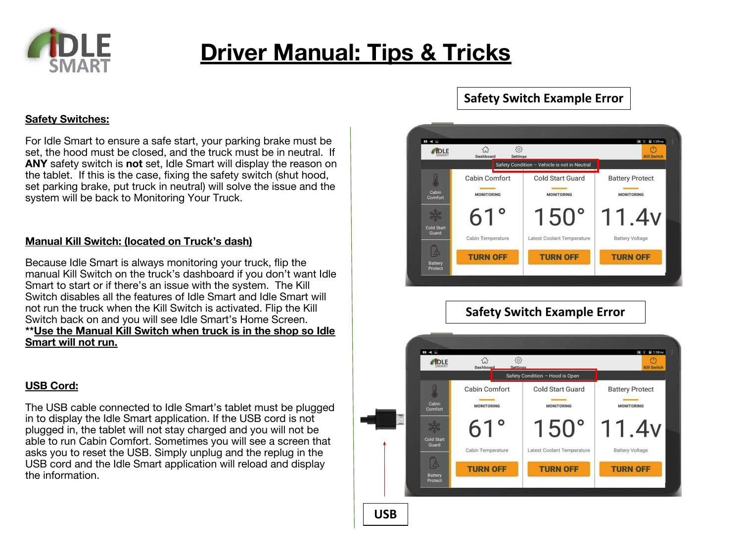

## **Driver Manual: Tips & Tricks**

#### **Safety Switches:**

For Idle Smart to ensure a safe start, your parking brake must be set, the hood must be closed, and the truck must be in neutral. If **ANY** safety switch is **not** set, Idle Smart will display the reason on the tablet. If this is the case, fixing the safety switch (shut hood, set parking brake, put truck in neutral) will solve the issue and the system will be back to Monitoring Your Truck.

#### **Manual Kill Switch: (located on Truck's dash)**

Because Idle Smart is always monitoring your truck, flip the manual Kill Switch on the truck's dashboard if you don't want Idle Smart to start or if there's an issue with the system. The Kill Switch disables all the features of Idle Smart and Idle Smart will not run the truck when the Kill Switch is activated. Flip the Kill Switch back on and you will see Idle Smart's Home Screen. **\*\*Use the Manual Kill Switch when truck is in the shop so Idle Smart will not run.**

#### **USB Cord:**

The USB cable connected to Idle Smart's tablet must be plugged in to display the Idle Smart application. If the USB cord is not plugged in, the tablet will not stay charged and you will not be able to run Cabin Comfort. Sometimes you will see a screen that asks you to reset the USB. Simply unplug and the replug in the USB cord and the Idle Smart application will reload and display the information.

### **Safety Switch Example Error**



### **Safety Switch Example Error**